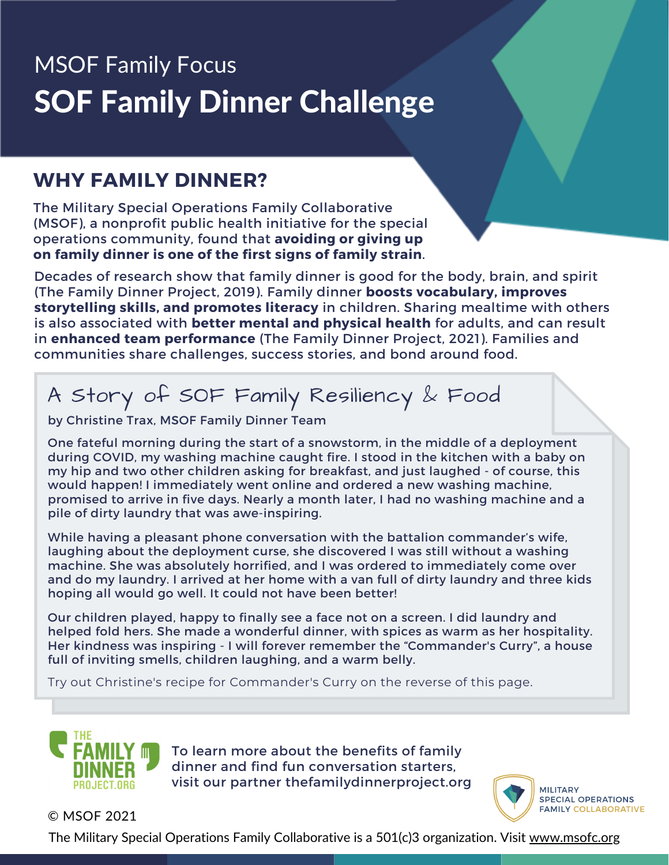## MSOF Family Focus SOF Family Dinner Challenge

#### **WHY FAMILY DINNER?**

The Military Special Operations Family Collaborative (MSOF), a nonprofit public health initiative for the special operations community, found that **avoiding or giving up on family dinner is one of the first signs of family strain**.

Decades of research show that family dinner is good for the body, brain, and spirit (The Family Dinner Project, 2019). Family dinner **boosts vocabulary, improves storytelling skills, and promotes literacy** in children. Sharing mealtime with others is also associated with **better mental and physical health** for adults, and can result in **enhanced team performance** (The Family Dinner Project, 2021). Families and communities share challenges, success stories, and bond around food.

### A Story of SOF Family Resiliency & Food

by Christine Trax, MSOF Family Dinner Team

One fateful morning during the start of a snowstorm, in the middle of a deployment during COVID, my washing machine caught fire. I stood in the kitchen with a baby on my hip and two other children asking for breakfast, and just laughed - of course, this would happen! I immediately went online and ordered a new washing machine, promised to arrive in five days. Nearly a month later, I had no washing machine and a pile of dirty laundry that was awe-inspiring.

While having a pleasant phone conversation with the battalion commander's wife, laughing about the deployment curse, she discovered I was still without a washing machine. She was absolutely horrified, and I was ordered to immediately come over and do my laundry. I arrived at her home with a van full of dirty laundry and three kids hoping all would go well. It could not have been better!

Our children played, happy to finally see a face not on a screen. I did laundry and helped fold hers. She made a wonderful dinner, with spices as warm as her hospitality. Her kindness was inspiring - I will forever remember the "Commander's Curry", a house full of inviting smells, children laughing, and a warm belly.

Try out Christine's recipe for Commander's Curry on the reverse of this page.



To learn more about the benefits of family dinner and find fun conversation starters, visit our partner thefamilydinnerproject.org



© MSOF 2021

The Military Special Operations Family Collaborative is a 501(c)3 organization. Visit [www.msofc.org](http://www.msofc.org/)